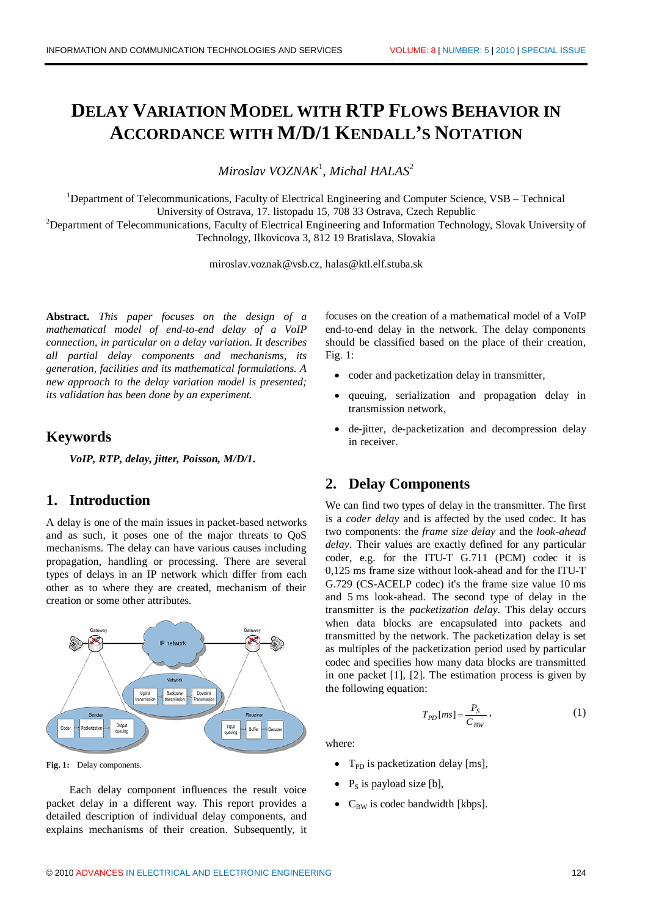# **DELAY VARIATION MODEL WITH RTP FLOWS BEHAVIOR IN ACCORDANCE WITH M/D/1 KENDALL'S NOTATION**

*Miroslav VOZNAK*<sup>1</sup> *, Michal HALAS*<sup>2</sup>

<sup>1</sup>Department of Telecommunications, Faculty of Electrical Engineering and Computer Science, VSB – Technical University of Ostrava, 17. listopadu 15, 708 33 Ostrava, Czech Republic <sup>2</sup>Department of Telecommunications, Faculty of Electrical Engineering and Information Technology, Slovak University of

Technology, Ilkovicova 3, 812 19 Bratislava, Slovakia

miroslav.voznak@vsb.cz, halas@ktl.elf.stuba.sk

**Abstract.** *This paper focuses on the design of a mathematical model of end-to-end delay of a VoIP connection, in particular on a delay variation. It describes all partial delay components and mechanisms, its generation, facilities and its mathematical formulations. A new approach to the delay variation model is presented; its validation has been done by an experiment.*

### **Keywords**

*VoIP, RTP, delay, jitter, Poisson, M/D/1***.**

# **1. Introduction**

A delay is one of the main issues in packet-based networks and as such, it poses one of the major threats to QoS mechanisms. The delay can have various causes including propagation, handling or processing. There are several types of delays in an IP network which differ from each other as to where they are created, mechanism of their creation or some other attributes.



**Fig. 1:** Delay components.

Each delay component influences the result voice packet delay in a different way. This report provides a detailed description of individual delay components, and explains mechanisms of their creation. Subsequently, it

focuses on the creation of a mathematical model of a VoIP end-to-end delay in the network. The delay components should be classified based on the place of their creation, Fig. 1:

- coder and packetization delay in transmitter,
- queuing, serialization and propagation delay in transmission network,
- de-jitter, de-packetization and decompression delay in receiver.

### **2. Delay Components**

We can find two types of delay in the transmitter. The first is a *coder delay* and is affected by the used codec. It has two components: the *frame size delay* and the *look-ahead delay*. Their values are exactly defined for any particular coder, e.g. for the ITU-T G.711 (PCM) codec it is 0,125 ms frame size without look-ahead and for the ITU-T G.729 (CS-ACELP codec) it's the frame size value 10 ms and 5 ms look-ahead. The second type of delay in the transmitter is the *packetization delay.* This delay occurs when data blocks are encapsulated into packets and transmitted by the network. The packetization delay is set as multiples of the packetization period used by particular codec and specifies how many data blocks are transmitted in one packet [1], [2]. The estimation process is given by the following equation:

$$
T_{PD}[ms] = \frac{P_S}{C_{BW}},\tag{1}
$$

where:

- $T_{\text{PD}}$  is packetization delay [ms],
- $P<sub>S</sub>$  is payload size [b],
- $C_{BW}$  is codec bandwidth [kbps].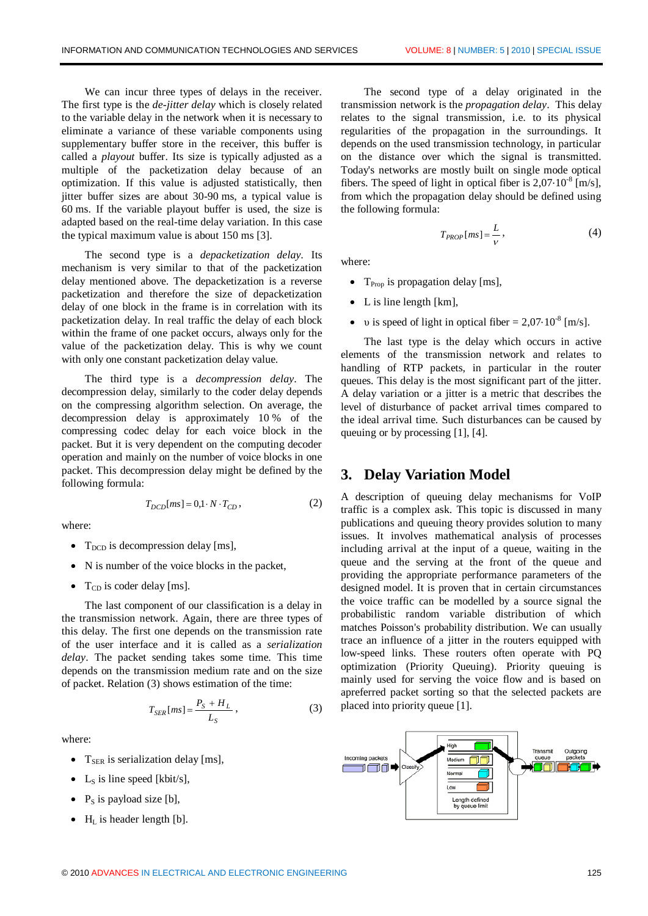We can incur three types of delays in the receiver. The first type is the *de-jitter delay* which is closely related to the variable delay in the network when it is necessary to eliminate a variance of these variable components using supplementary buffer store in the receiver, this buffer is called a *playout* buffer. Its size is typically adjusted as a multiple of the packetization delay because of an optimization. If this value is adjusted statistically, then jitter buffer sizes are about 30-90 ms, a typical value is 60 ms. If the variable playout buffer is used, the size is adapted based on the real-time delay variation. In this case the typical maximum value is about 150 ms [3].

The second type is a *depacketization delay.* Its mechanism is very similar to that of the packetization delay mentioned above. The depacketization is a reverse packetization and therefore the size of depacketization delay of one block in the frame is in correlation with its packetization delay. In real traffic the delay of each block within the frame of one packet occurs, always only for the value of the packetization delay. This is why we count with only one constant packetization delay value.

The third type is a *decompression delay*. The decompression delay, similarly to the coder delay depends on the compressing algorithm selection. On average, the decompression delay is approximately 10 % of the compressing codec delay for each voice block in the packet. But it is very dependent on the computing decoder operation and mainly on the number of voice blocks in one packet. This decompression delay might be defined by the following formula:

$$
T_{DCD}[ms] = 0, 1 \cdot N \cdot T_{CD},\tag{2}
$$

where:

- $T<sub>DCD</sub>$  is decompression delay [ms],
- · N is number of the voice blocks in the packet,
- $T_{CD}$  is coder delay [ms].

The last component of our classification is a delay in the transmission network. Again, there are three types of this delay. The first one depends on the transmission rate of the user interface and it is called as a *serialization delay*. The packet sending takes some time. This time depends on the transmission medium rate and on the size of packet. Relation (3) shows estimation of the time:

$$
T_{SER}[ms] = \frac{P_S + H_L}{L_S},\tag{3}
$$

where:

- $T_{\text{SER}}$  is serialization delay [ms],
- L<sub>S</sub> is line speed [kbit/s],
- $P_s$  is payload size [b],
- $H_L$  is header length [b].

The second type of a delay originated in the transmission network is the *propagation delay*. This delay relates to the signal transmission, i.e. to its physical regularities of the propagation in the surroundings. It depends on the used transmission technology, in particular on the distance over which the signal is transmitted. Today's networks are mostly built on single mode optical fibers. The speed of light in optical fiber is  $2,07 \cdot 10^{-8}$  [m/s], from which the propagation delay should be defined using the following formula:

$$
T_{PROP}[ms] = \frac{L}{V},\tag{4}
$$

where:

- $T_{\text{Proo}}$  is propagation delay [ms],
- L is line length [km],
- v is speed of light in optical fiber =  $2,07 \cdot 10^{-8}$  [m/s].

The last type is the delay which occurs in active elements of the transmission network and relates to handling of RTP packets, in particular in the router queues. This delay is the most significant part of the jitter. A delay variation or a jitter is a metric that describes the level of disturbance of packet arrival times compared to the ideal arrival time. Such disturbances can be caused by queuing or by processing [1], [4].

#### **3. Delay Variation Model**

A description of queuing delay mechanisms for VoIP traffic is a complex ask. This topic is discussed in many publications and queuing theory provides solution to many issues. It involves mathematical analysis of processes including arrival at the input of a queue, waiting in the queue and the serving at the front of the queue and providing the appropriate performance parameters of the designed model. It is proven that in certain circumstances the voice traffic can be modelled by a source signal the probabilistic random variable distribution of which matches Poisson's probability distribution. We can usually trace an influence of a jitter in the routers equipped with low-speed links. These routers often operate with PQ optimization (Priority Queuing). Priority queuing is mainly used for serving the voice flow and is based on apreferred packet sorting so that the selected packets are placed into priority queue [1].

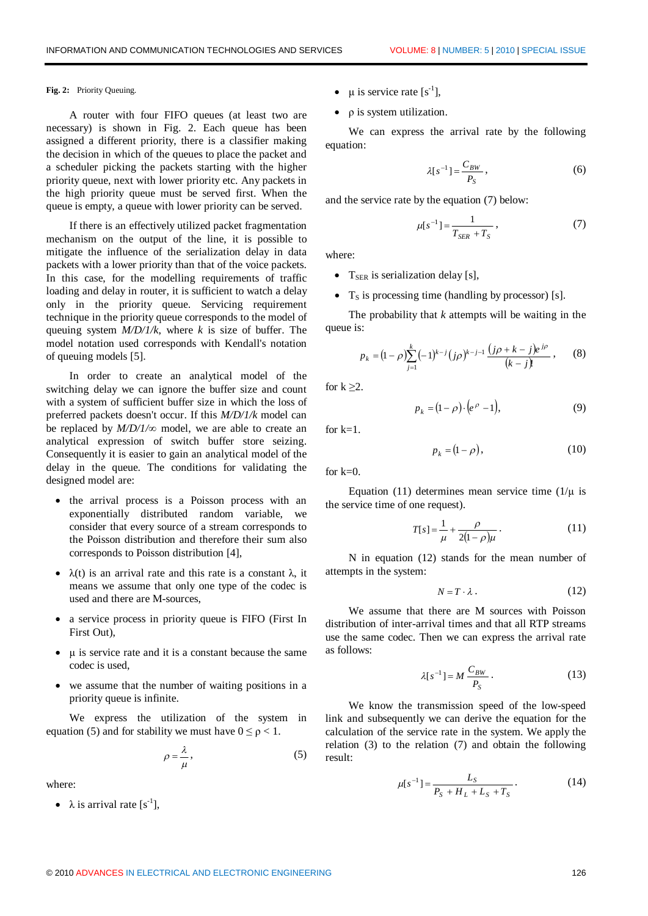#### **Fig. 2:** Priority Queuing.

A router with four FIFO queues (at least two are necessary) is shown in Fig. 2. Each queue has been assigned a different priority, there is a classifier making the decision in which of the queues to place the packet and a scheduler picking the packets starting with the higher priority queue, next with lower priority etc. Any packets in the high priority queue must be served first. When the queue is empty, a queue with lower priority can be served.

If there is an effectively utilized packet fragmentation mechanism on the output of the line, it is possible to mitigate the influence of the serialization delay in data packets with a lower priority than that of the voice packets. In this case, for the modelling requirements of traffic loading and delay in router, it is sufficient to watch a delay only in the priority queue. Servicing requirement technique in the priority queue corresponds to the model of queuing system *M/D/1/k*, where *k* is size of buffer. The model notation used corresponds with Kendall's notation of queuing models [5].

In order to create an analytical model of the switching delay we can ignore the buffer size and count with a system of sufficient buffer size in which the loss of preferred packets doesn't occur. If this *M/D/1/k* model can be replaced by *M/D/1/∞* model, we are able to create an analytical expression of switch buffer store seizing. Consequently it is easier to gain an analytical model of the delay in the queue. The conditions for validating the designed model are:

- · the arrival process is a Poisson process with an exponentially distributed random variable, we consider that every source of a stream corresponds to the Poisson distribution and therefore their sum also corresponds to Poisson distribution [4],
- $\lambda(t)$  is an arrival rate and this rate is a constant  $\lambda$ , it means we assume that only one type of the codec is used and there are M-sources,
- a service process in priority queue is FIFO (First In First Out),
- · μ is service rate and it is a constant because the same codec is used,
- · we assume that the number of waiting positions in a priority queue is infinite.

We express the utilization of the system in equation (5) and for stability we must have  $0 \le p < 1$ .

$$
\rho = \frac{\lambda}{\mu},\tag{5}
$$

where:

•  $\lambda$  is arrival rate [s<sup>-1</sup>],

- $\mu$  is service rate [s<sup>-1</sup>],
- · ρ is system utilization.

We can express the arrival rate by the following equation:

$$
\lambda[s^{-1}] = \frac{C_{BW}}{P_S},\qquad(6)
$$

and the service rate by the equation (7) below:

$$
\mu[s^{-1}] = \frac{1}{T_{SER} + T_S},\tag{7}
$$

where:

- $T_{SER}$  is serialization delay [s],
- $T_s$  is processing time (handling by processor) [s].

The probability that *k* attempts will be waiting in the queue is:

$$
p_k = (1 - \rho) \sum_{j=1}^k (-1)^{k-j} (j\rho)^{k-j-1} \frac{(j\rho + k - j)e^{j\rho}}{(k-j)!},
$$
 (8)

for  $k \geq 2$ .

$$
p_k = (1 - \rho) \cdot \left(e^{\rho} - 1\right),\tag{9}
$$

for  $k=1$ .

$$
p_k = (1 - \rho), \tag{10}
$$

for  $k=0$ .

Equation (11) determines mean service time ( $1/\mu$  is the service time of one request).

$$
T[s] = \frac{1}{\mu} + \frac{\rho}{2(1-\rho)\mu}.
$$
 (11)

N in equation (12) stands for the mean number of attempts in the system:

$$
N = T \cdot \lambda \,. \tag{12}
$$

We assume that there are M sources with Poisson distribution of inter-arrival times and that all RTP streams use the same codec. Then we can express the arrival rate as follows:

$$
\lambda[s^{-1}] = M \frac{C_{BW}}{P_S} \,. \tag{13}
$$

We know the transmission speed of the low-speed link and subsequently we can derive the equation for the calculation of the service rate in the system. We apply the relation (3) to the relation (7) and obtain the following result:

$$
\mu[s^{-1}] = \frac{L_S}{P_S + H_L + L_S + T_S}.
$$
 (14)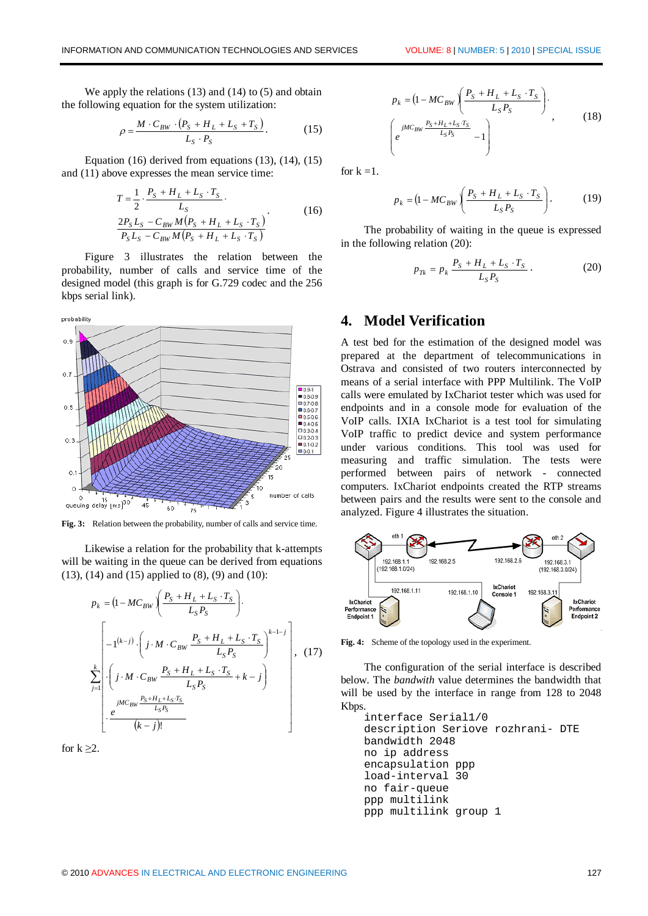We apply the relations (13) and (14) to (5) and obtain the following equation for the system utilization:

$$
\rho = \frac{M \cdot C_{BW} \cdot (P_S + H_L + L_S + T_S)}{L_S \cdot P_S}.
$$
\n(15)

Equation (16) derived from equations (13), (14), (15) and (11) above expresses the mean service time:

$$
T = \frac{1}{2} \cdot \frac{P_S + H_L + L_S \cdot T_S}{L_S}.
$$
  
\n
$$
\frac{2P_S L_S - C_{BW} M (P_S + H_L + L_S \cdot T_S)}{P_S L_S - C_{BW} M (P_S + H_L + L_S \cdot T_S)}
$$
 (16)

Figure 3 illustrates the relation between the probability, number of calls and service time of the designed model (this graph is for G.729 codec and the 256 kbps serial link).



**Fig. 3:** Relation between the probability, number of calls and service time.

Likewise a relation for the probability that k-attempts will be waiting in the queue can be derived from equations (13), (14) and (15) applied to (8), (9) and (10):

$$
p_{k} = (1 - MC_{BW}) \left( \frac{P_{S} + H_{L} + L_{S} \cdot T_{S}}{L_{S} P_{S}} \right).
$$
  
\n
$$
\sum_{j=1}^{k} \left[ -1^{(k-j)} \cdot \left( j \cdot M \cdot C_{BW} \frac{P_{S} + H_{L} + L_{S} \cdot T_{S}}{L_{S} P_{S}} \right)^{k-1-j} \right], (17)
$$
  
\n
$$
\sum_{j=1}^{k} \left( j \cdot M \cdot C_{BW} \frac{P_{S} + H_{L} + L_{S} \cdot T_{S}}{L_{S} P_{S}} + k - j \right)
$$
  
\n
$$
\cdot \frac{e^{jMC_{BW} \frac{P_{S} + H_{L} + L_{S} \cdot T_{S}}{L_{S} P_{S}}}{(k-j)!}
$$

for  $k \geq 2$ .

$$
p_{k} = (1 - MC_{BW} \left( \frac{P_{S} + H_{L} + L_{S} \cdot T_{S}}{L_{S} P_{S}} \right) \cdot \left( \frac{jMC_{BW} \frac{P_{S} + H_{L} + L_{S} \cdot T_{S}}{L_{S} P_{S}} - 1 \right) , \qquad (18)
$$

for  $k = 1$ .

$$
p_{k} = (1 - MC_{BW}) \left( \frac{P_{S} + H_{L} + L_{S} \cdot T_{S}}{L_{S} P_{S}} \right). \tag{19}
$$

The probability of waiting in the queue is expressed in the following relation (20):

$$
p_{Tk} = p_k \frac{P_S + H_L + L_S \cdot T_S}{L_S P_S} \,. \tag{20}
$$

#### **4. Model Verification**

A test bed for the estimation of the designed model was prepared at the department of telecommunications in Ostrava and consisted of two routers interconnected by means of a serial interface with PPP Multilink. The VoIP calls were emulated by IxChariot tester which was used for endpoints and in a console mode for evaluation of the VoIP calls. IXIA IxChariot is a test tool for simulating VoIP traffic to predict device and system performance under various conditions. This tool was used for measuring and traffic simulation. The tests were performed between pairs of network - connected computers. IxChariot endpoints created the RTP streams between pairs and the results were sent to the console and analyzed. Figure 4 illustrates the situation.



**Fig. 4:** Scheme of the topology used in the experiment.

The configuration of the serial interface is described below. The *bandwith* value determines the bandwidth that will be used by the interface in range from 128 to 2048 Kbps.

```
interface Serial1/0
description Seriove rozhrani- DTE
bandwidth 2048
no ip address
encapsulation ppp
load-interval 30
no fair-queue
ppp multilink
ppp multilink group 1
```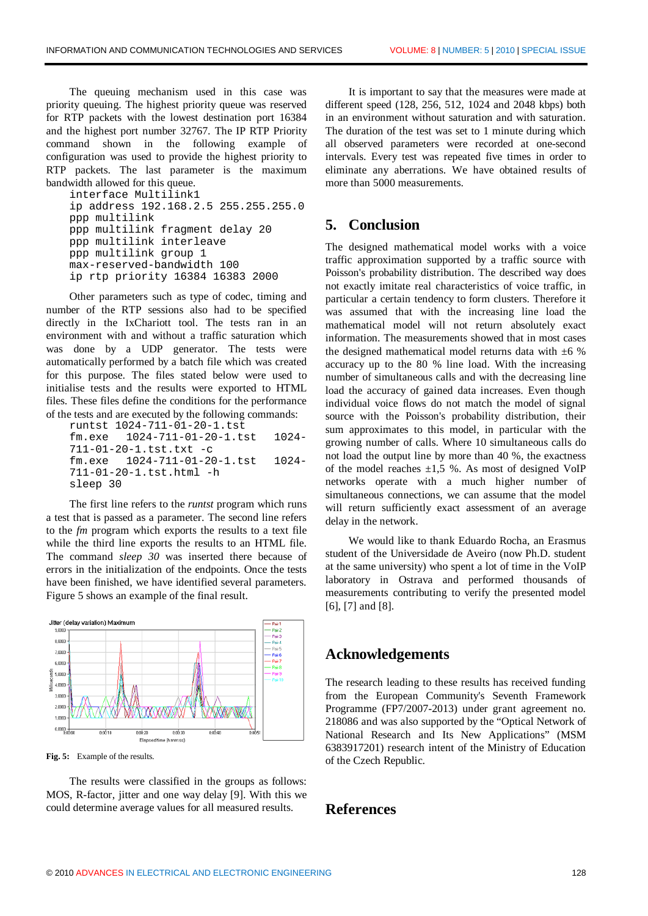The queuing mechanism used in this case was priority queuing. The highest priority queue was reserved for RTP packets with the lowest destination port 16384 and the highest port number 32767. The IP RTP Priority command shown in the following example of configuration was used to provide the highest priority to RTP packets. The last parameter is the maximum bandwidth allowed for this queue.

```
interface Multilink1
ip address 192.168.2.5 255.255.255.0
ppp multilink
ppp multilink fragment delay 20
ppp multilink interleave
ppp multilink group 1
max-reserved-bandwidth 100
ip rtp priority 16384 16383 2000
```
Other parameters such as type of codec, timing and number of the RTP sessions also had to be specified directly in the IxChariott tool. The tests ran in an environment with and without a traffic saturation which was done by a UDP generator. The tests were automatically performed by a batch file which was created for this purpose. The files stated below were used to initialise tests and the results were exported to HTML files. These files define the conditions for the performance of the tests and are executed by the following commands:

runtst 1024-711-01-20-1.tst fm.exe 1024-711-01-20-1.tst 1024- 711-01-20-1.tst.txt -c fm.exe 1024-711-01-20-1.tst 1024- 711-01-20-1.tst.html -h sleep 30

The first line refers to the *runtst* program which runs a test that is passed as a parameter. The second line refers to the *fm* program which exports the results to a text file while the third line exports the results to an HTML file. The command *sleep 30* was inserted there because of errors in the initialization of the endpoints. Once the tests have been finished, we have identified several parameters. Figure 5 shows an example of the final result.



**Fig. 5:** Example of the results.

The results were classified in the groups as follows: MOS, R-factor, jitter and one way delay [9]. With this we could determine average values for all measured results.

It is important to say that the measures were made at different speed (128, 256, 512, 1024 and 2048 kbps) both in an environment without saturation and with saturation. The duration of the test was set to 1 minute during which all observed parameters were recorded at one-second intervals. Every test was repeated five times in order to eliminate any aberrations. We have obtained results of more than 5000 measurements.

# **5. Conclusion**

The designed mathematical model works with a voice traffic approximation supported by a traffic source with Poisson's probability distribution. The described way does not exactly imitate real characteristics of voice traffic, in particular a certain tendency to form clusters. Therefore it was assumed that with the increasing line load the mathematical model will not return absolutely exact information. The measurements showed that in most cases the designed mathematical model returns data with  $\pm 6$  % accuracy up to the 80 % line load. With the increasing number of simultaneous calls and with the decreasing line load the accuracy of gained data increases. Even though individual voice flows do not match the model of signal source with the Poisson's probability distribution, their sum approximates to this model, in particular with the growing number of calls. Where 10 simultaneous calls do not load the output line by more than 40 %, the exactness of the model reaches  $\pm 1.5$  %. As most of designed VoIP networks operate with a much higher number of simultaneous connections, we can assume that the model will return sufficiently exact assessment of an average delay in the network.

We would like to thank Eduardo Rocha, an Erasmus student of the Universidade de Aveiro (now Ph.D. student at the same university) who spent a lot of time in the VoIP laboratory in Ostrava and performed thousands of measurements contributing to verify the presented model [6], [7] and [8].

#### **Acknowledgements**

The research leading to these results has received funding from the European Community's Seventh Framework Programme (FP7/2007-2013) under grant agreement no. 218086 and was also supported by the "Optical Network of National Research and Its New Applications" (MSM 6383917201) research intent of the Ministry of Education of the Czech Republic.

#### **References**